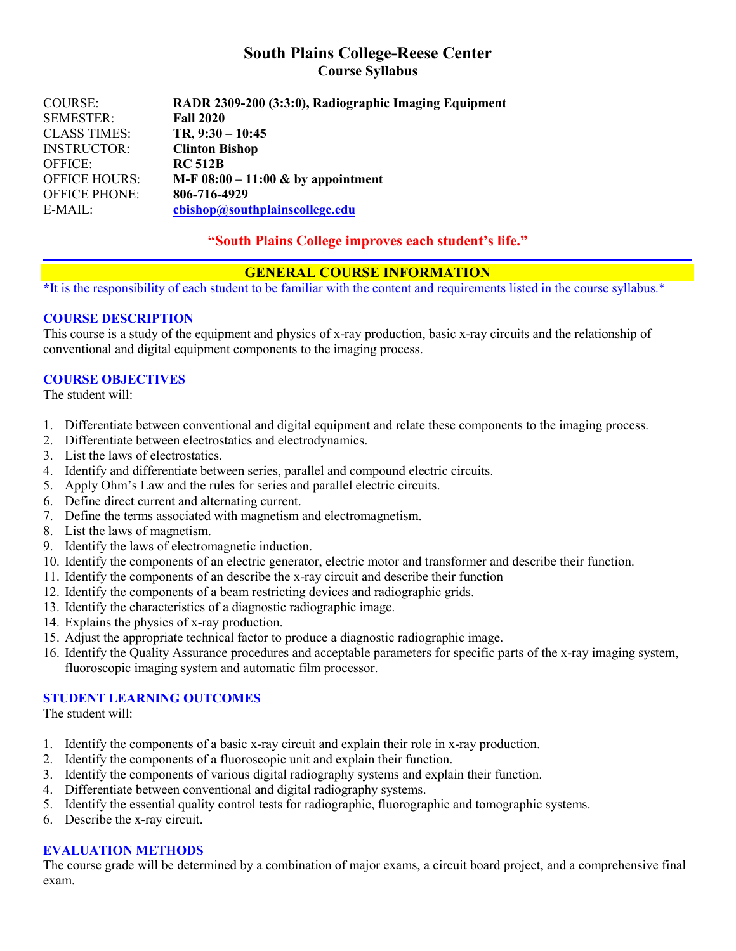# **South Plains College-Reese Center Course Syllabus**

| COURSE:              | RADR 2309-200 (3:3:0), Radiographic Imaging Equipment |
|----------------------|-------------------------------------------------------|
| <b>SEMESTER:</b>     | <b>Fall 2020</b>                                      |
| <b>CLASS TIMES:</b>  | $TR, 9:30 - 10:45$                                    |
| <b>INSTRUCTOR:</b>   | <b>Clinton Bishop</b>                                 |
| OFFICE:              | <b>RC 512B</b>                                        |
| <b>OFFICE HOURS:</b> | M-F $08:00 - 11:00 \&$ by appointment                 |
| <b>OFFICE PHONE:</b> | 806-716-4929                                          |
| $E-MAIL:$            | cbishop@southplainscollege.edu                        |
|                      |                                                       |

## **"South Plains College improves each student's life."**

## **GENERAL COURSE INFORMATION**

**\***It is the responsibility of each student to be familiar with the content and requirements listed in the course syllabus.\*

### **COURSE DESCRIPTION**

This course is a study of the equipment and physics of x-ray production, basic x-ray circuits and the relationship of conventional and digital equipment components to the imaging process.

### **COURSE OBJECTIVES**

The student will:

- 1. Differentiate between conventional and digital equipment and relate these components to the imaging process.
- 2. Differentiate between electrostatics and electrodynamics.
- 3. List the laws of electrostatics.
- 4. Identify and differentiate between series, parallel and compound electric circuits.
- 5. Apply Ohm's Law and the rules for series and parallel electric circuits.
- 6. Define direct current and alternating current.
- 7. Define the terms associated with magnetism and electromagnetism.
- 8. List the laws of magnetism.
- 9. Identify the laws of electromagnetic induction.
- 10. Identify the components of an electric generator, electric motor and transformer and describe their function.
- 11. Identify the components of an describe the x-ray circuit and describe their function
- 12. Identify the components of a beam restricting devices and radiographic grids.
- 13. Identify the characteristics of a diagnostic radiographic image.
- 14. Explains the physics of x-ray production.
- 15. Adjust the appropriate technical factor to produce a diagnostic radiographic image.
- 16. Identify the Quality Assurance procedures and acceptable parameters for specific parts of the x-ray imaging system, fluoroscopic imaging system and automatic film processor.

### **STUDENT LEARNING OUTCOMES**

The student will:

- 1. Identify the components of a basic x-ray circuit and explain their role in x-ray production.
- 2. Identify the components of a fluoroscopic unit and explain their function.
- 3. Identify the components of various digital radiography systems and explain their function.
- 4. Differentiate between conventional and digital radiography systems.
- 5. Identify the essential quality control tests for radiographic, fluorographic and tomographic systems.
- 6. Describe the x-ray circuit.

#### **EVALUATION METHODS**

The course grade will be determined by a combination of major exams, a circuit board project, and a comprehensive final exam.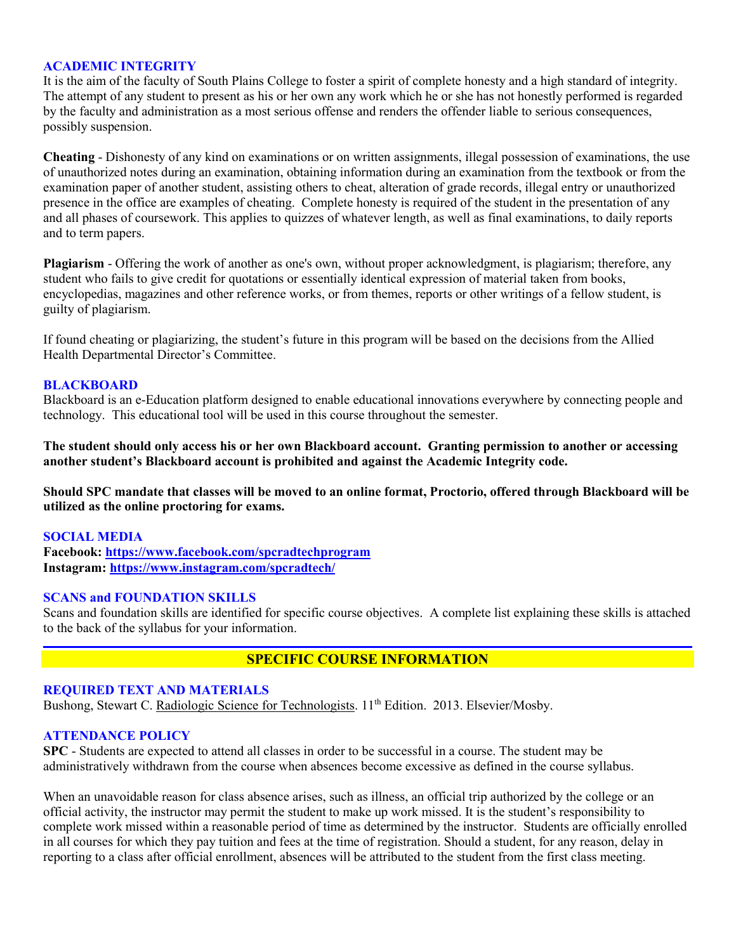#### **ACADEMIC INTEGRITY**

It is the aim of the faculty of South Plains College to foster a spirit of complete honesty and a high standard of integrity. The attempt of any student to present as his or her own any work which he or she has not honestly performed is regarded by the faculty and administration as a most serious offense and renders the offender liable to serious consequences, possibly suspension.

**Cheating** - Dishonesty of any kind on examinations or on written assignments, illegal possession of examinations, the use of unauthorized notes during an examination, obtaining information during an examination from the textbook or from the examination paper of another student, assisting others to cheat, alteration of grade records, illegal entry or unauthorized presence in the office are examples of cheating. Complete honesty is required of the student in the presentation of any and all phases of coursework. This applies to quizzes of whatever length, as well as final examinations, to daily reports and to term papers.

**Plagiarism** - Offering the work of another as one's own, without proper acknowledgment, is plagiarism; therefore, any student who fails to give credit for quotations or essentially identical expression of material taken from books, encyclopedias, magazines and other reference works, or from themes, reports or other writings of a fellow student, is guilty of plagiarism.

If found cheating or plagiarizing, the student's future in this program will be based on the decisions from the Allied Health Departmental Director's Committee.

#### **BLACKBOARD**

Blackboard is an e-Education platform designed to enable educational innovations everywhere by connecting people and technology. This educational tool will be used in this course throughout the semester.

**The student should only access his or her own Blackboard account. Granting permission to another or accessing another student's Blackboard account is prohibited and against the Academic Integrity code.**

**Should SPC mandate that classes will be moved to an online format, Proctorio, offered through Blackboard will be utilized as the online proctoring for exams.**

#### **SOCIAL MEDIA**

**Facebook: <https://www.facebook.com/spcradtechprogram> Instagram:<https://www.instagram.com/spcradtech/>**

#### **SCANS and FOUNDATION SKILLS**

Scans and foundation skills are identified for specific course objectives. A complete list explaining these skills is attached to the back of the syllabus for your information.

# **SPECIFIC COURSE INFORMATION**

#### **REQUIRED TEXT AND MATERIALS**

Bushong, Stewart C. Radiologic Science for Technologists. 11<sup>th</sup> Edition. 2013. Elsevier/Mosby.

#### **ATTENDANCE POLICY**

**SPC** - Students are expected to attend all classes in order to be successful in a course. The student may be administratively withdrawn from the course when absences become excessive as defined in the course syllabus.

When an unavoidable reason for class absence arises, such as illness, an official trip authorized by the college or an official activity, the instructor may permit the student to make up work missed. It is the student's responsibility to complete work missed within a reasonable period of time as determined by the instructor. Students are officially enrolled in all courses for which they pay tuition and fees at the time of registration. Should a student, for any reason, delay in reporting to a class after official enrollment, absences will be attributed to the student from the first class meeting.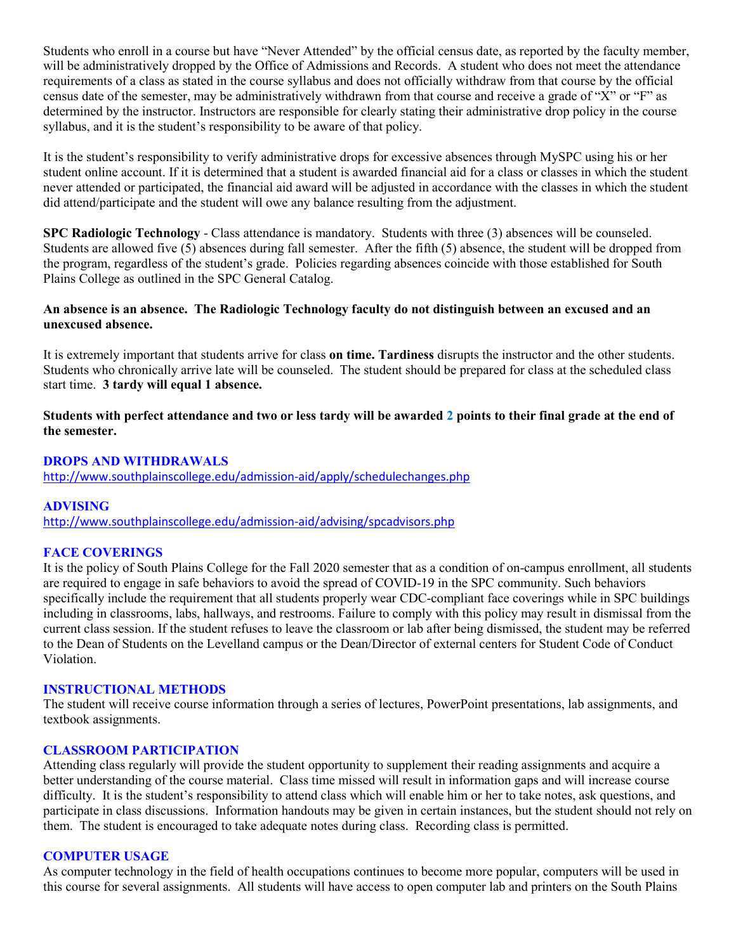Students who enroll in a course but have "Never Attended" by the official census date, as reported by the faculty member, will be administratively dropped by the Office of Admissions and Records. A student who does not meet the attendance requirements of a class as stated in the course syllabus and does not officially withdraw from that course by the official census date of the semester, may be administratively withdrawn from that course and receive a grade of "X" or "F" as determined by the instructor. Instructors are responsible for clearly stating their administrative drop policy in the course syllabus, and it is the student's responsibility to be aware of that policy.

It is the student's responsibility to verify administrative drops for excessive absences through MySPC using his or her student online account. If it is determined that a student is awarded financial aid for a class or classes in which the student never attended or participated, the financial aid award will be adjusted in accordance with the classes in which the student did attend/participate and the student will owe any balance resulting from the adjustment.

**SPC Radiologic Technology** - Class attendance is mandatory. Students with three (3) absences will be counseled. Students are allowed five (5) absences during fall semester. After the fifth (5) absence, the student will be dropped from the program, regardless of the student's grade. Policies regarding absences coincide with those established for South Plains College as outlined in the SPC General Catalog.

### **An absence is an absence. The Radiologic Technology faculty do not distinguish between an excused and an unexcused absence.**

It is extremely important that students arrive for class **on time. Tardiness** disrupts the instructor and the other students. Students who chronically arrive late will be counseled. The student should be prepared for class at the scheduled class start time. **3 tardy will equal 1 absence.**

**Students with perfect attendance and two or less tardy will be awarded 2 points to their final grade at the end of the semester.**

#### **DROPS AND WITHDRAWALS**

<http://www.southplainscollege.edu/admission-aid/apply/schedulechanges.php>

## **ADVISING**

<http://www.southplainscollege.edu/admission-aid/advising/spcadvisors.php>

#### **FACE COVERINGS**

It is the policy of South Plains College for the Fall 2020 semester that as a condition of on-campus enrollment, all students are required to engage in safe behaviors to avoid the spread of COVID-19 in the SPC community. Such behaviors specifically include the requirement that all students properly wear CDC-compliant face coverings while in SPC buildings including in classrooms, labs, hallways, and restrooms. Failure to comply with this policy may result in dismissal from the current class session. If the student refuses to leave the classroom or lab after being dismissed, the student may be referred to the Dean of Students on the Levelland campus or the Dean/Director of external centers for Student Code of Conduct Violation.

#### **INSTRUCTIONAL METHODS**

The student will receive course information through a series of lectures, PowerPoint presentations, lab assignments, and textbook assignments.

#### **CLASSROOM PARTICIPATION**

Attending class regularly will provide the student opportunity to supplement their reading assignments and acquire a better understanding of the course material. Class time missed will result in information gaps and will increase course difficulty. It is the student's responsibility to attend class which will enable him or her to take notes, ask questions, and participate in class discussions. Information handouts may be given in certain instances, but the student should not rely on them. The student is encouraged to take adequate notes during class. Recording class is permitted.

#### **COMPUTER USAGE**

As computer technology in the field of health occupations continues to become more popular, computers will be used in this course for several assignments. All students will have access to open computer lab and printers on the South Plains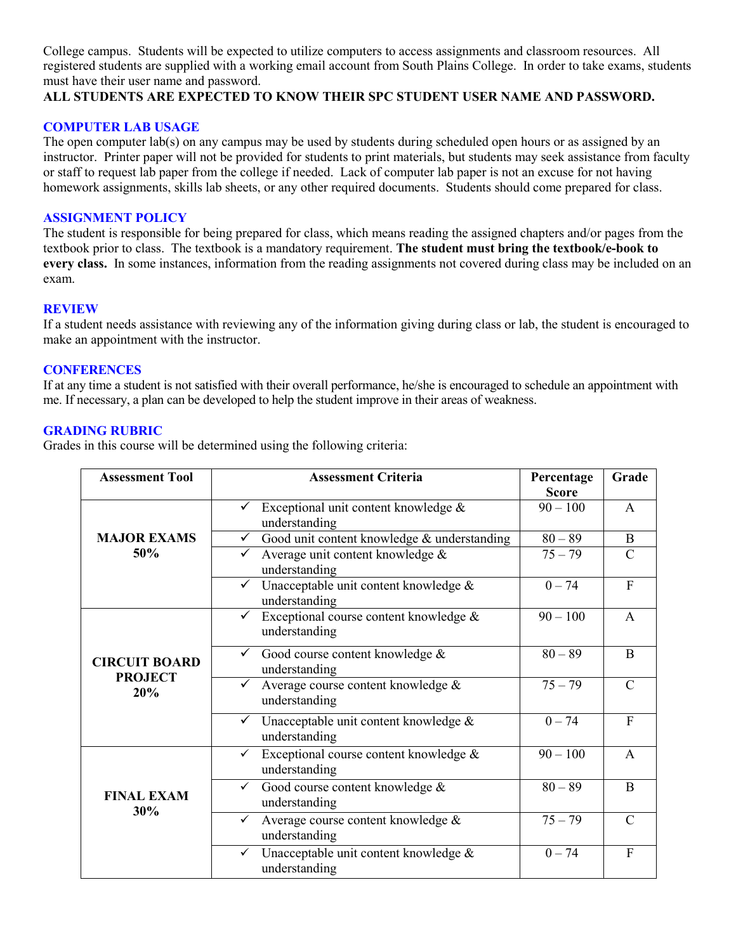College campus. Students will be expected to utilize computers to access assignments and classroom resources. All registered students are supplied with a working email account from South Plains College. In order to take exams, students must have their user name and password.

#### **ALL STUDENTS ARE EXPECTED TO KNOW THEIR SPC STUDENT USER NAME AND PASSWORD.**

#### **COMPUTER LAB USAGE**

The open computer lab(s) on any campus may be used by students during scheduled open hours or as assigned by an instructor. Printer paper will not be provided for students to print materials, but students may seek assistance from faculty or staff to request lab paper from the college if needed. Lack of computer lab paper is not an excuse for not having homework assignments, skills lab sheets, or any other required documents. Students should come prepared for class.

#### **ASSIGNMENT POLICY**

The student is responsible for being prepared for class, which means reading the assigned chapters and/or pages from the textbook prior to class. The textbook is a mandatory requirement. **The student must bring the textbook/e-book to every class.** In some instances, information from the reading assignments not covered during class may be included on an exam.

#### **REVIEW**

If a student needs assistance with reviewing any of the information giving during class or lab, the student is encouraged to make an appointment with the instructor.

#### **CONFERENCES**

If at any time a student is not satisfied with their overall performance, he/she is encouraged to schedule an appointment with me. If necessary, a plan can be developed to help the student improve in their areas of weakness.

#### **GRADING RUBRIC**

Grades in this course will be determined using the following criteria:

| <b>Assessment Tool</b>                        | <b>Assessment Criteria</b>                                              | Percentage<br><b>Score</b> | Grade          |
|-----------------------------------------------|-------------------------------------------------------------------------|----------------------------|----------------|
| <b>MAJOR EXAMS</b><br>50%                     | Exceptional unit content knowledge &<br>understanding                   | $90 - 100$                 | $\mathsf{A}$   |
|                                               | Good unit content knowledge & understanding                             | $80 - 89$                  | $\mathbf B$    |
|                                               | Average unit content knowledge &<br>understanding                       | $75 - 79$                  | $\mathcal{C}$  |
|                                               | Unacceptable unit content knowledge &<br>understanding                  | $0 - 74$                   | $\mathbf{F}$   |
| <b>CIRCUIT BOARD</b><br><b>PROJECT</b><br>20% | Exceptional course content knowledge &<br>understanding                 | $90 - 100$                 | A              |
|                                               | Good course content knowledge &<br>understanding                        | $80 - 89$                  | B              |
|                                               | Average course content knowledge &<br>understanding                     | $75 - 79$                  | $\mathcal{C}$  |
|                                               | $\checkmark$ Unacceptable unit content knowledge &<br>understanding     | $0 - 74$                   | $\overline{F}$ |
| <b>FINAL EXAM</b><br>30%                      | Exceptional course content knowledge &<br>$\checkmark$<br>understanding | $90 - 100$                 | A              |
|                                               | Good course content knowledge &<br>$\checkmark$<br>understanding        | $80 - 89$                  | $\mathbf{B}$   |
|                                               | Average course content knowledge &<br>understanding                     | $75 - 79$                  | $\mathcal{C}$  |
|                                               | Unacceptable unit content knowledge &<br>$\checkmark$<br>understanding  | $0 - 74$                   | $\overline{F}$ |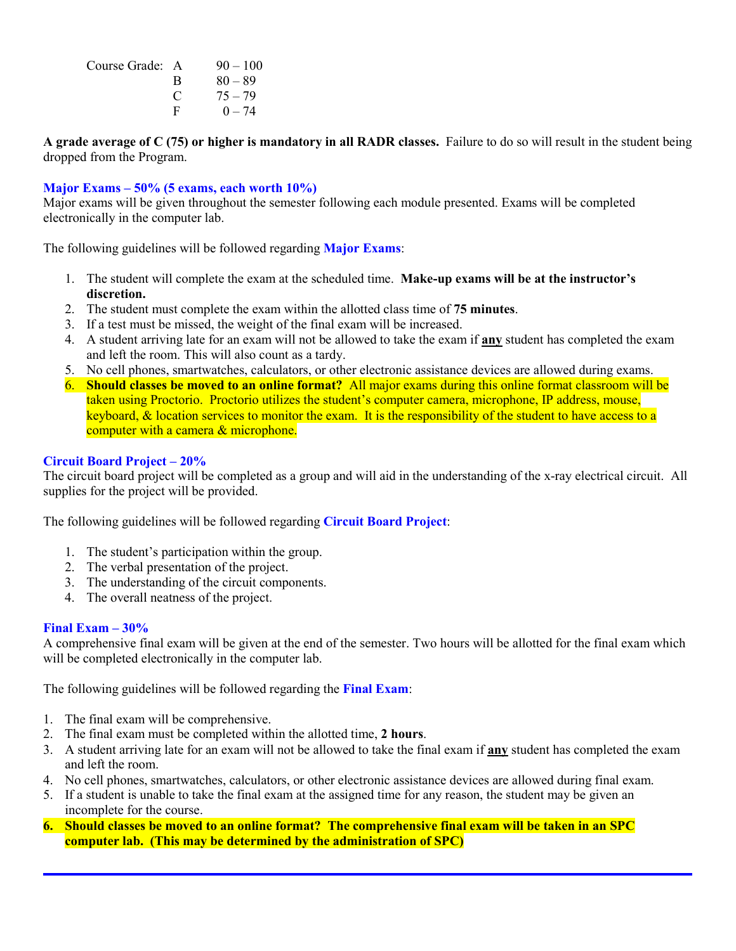| Course Grade: A |   | $90 - 100$ |
|-----------------|---|------------|
|                 | B | $80 - 89$  |
|                 | € | $75 - 79$  |
|                 | F | $0 - 74$   |

**A grade average of C (75) or higher is mandatory in all RADR classes.** Failure to do so will result in the student being dropped from the Program.

### **Major Exams – 50% (5 exams, each worth 10%)**

Major exams will be given throughout the semester following each module presented. Exams will be completed electronically in the computer lab.

The following guidelines will be followed regarding **Major Exams**:

- 1. The student will complete the exam at the scheduled time. **Make-up exams will be at the instructor's discretion.**
- 2. The student must complete the exam within the allotted class time of **75 minutes**.
- 3. If a test must be missed, the weight of the final exam will be increased.
- 4. A student arriving late for an exam will not be allowed to take the exam if **any** student has completed the exam and left the room. This will also count as a tardy.
- 5. No cell phones, smartwatches, calculators, or other electronic assistance devices are allowed during exams.
- 6. **Should classes be moved to an online format?** All major exams during this online format classroom will be taken using Proctorio. Proctorio utilizes the student's computer camera, microphone, IP address, mouse, keyboard, & location services to monitor the exam. It is the responsibility of the student to have access to a computer with a camera & microphone.

#### **Circuit Board Project – 20%**

The circuit board project will be completed as a group and will aid in the understanding of the x-ray electrical circuit. All supplies for the project will be provided.

The following guidelines will be followed regarding **Circuit Board Project**:

- 1. The student's participation within the group.
- 2. The verbal presentation of the project.
- 3. The understanding of the circuit components.
- 4. The overall neatness of the project.

#### **Final Exam – 30%**

A comprehensive final exam will be given at the end of the semester. Two hours will be allotted for the final exam which will be completed electronically in the computer lab.

The following guidelines will be followed regarding the **Final Exam**:

- 1. The final exam will be comprehensive.
- 2. The final exam must be completed within the allotted time, **2 hours**.
- 3. A student arriving late for an exam will not be allowed to take the final exam if **any** student has completed the exam and left the room.
- 4. No cell phones, smartwatches, calculators, or other electronic assistance devices are allowed during final exam.
- 5. If a student is unable to take the final exam at the assigned time for any reason, the student may be given an incomplete for the course.
- **6. Should classes be moved to an online format? The comprehensive final exam will be taken in an SPC computer lab. (This may be determined by the administration of SPC)**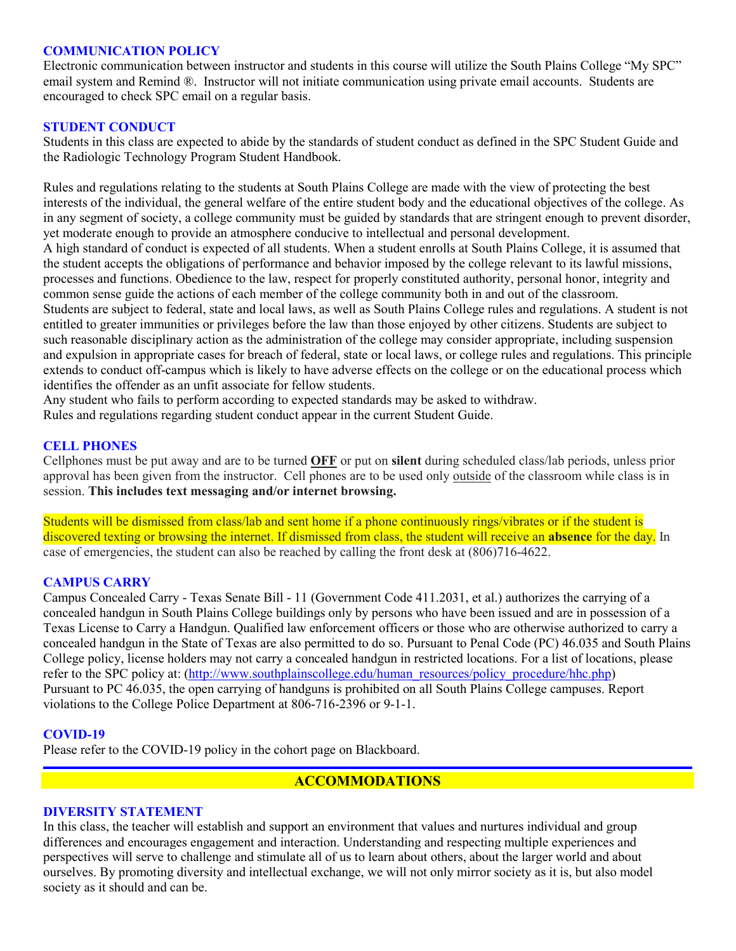#### **COMMUNICATION POLICY**

Electronic communication between instructor and students in this course will utilize the South Plains College "My SPC" email system and Remind ®. Instructor will not initiate communication using private email accounts. Students are encouraged to check SPC email on a regular basis.

#### **STUDENT CONDUCT**

Students in this class are expected to abide by the standards of student conduct as defined in the SPC Student Guide and the Radiologic Technology Program Student Handbook.

Rules and regulations relating to the students at South Plains College are made with the view of protecting the best interests of the individual, the general welfare of the entire student body and the educational objectives of the college. As in any segment of society, a college community must be guided by standards that are stringent enough to prevent disorder, yet moderate enough to provide an atmosphere conducive to intellectual and personal development. A high standard of conduct is expected of all students. When a student enrolls at South Plains College, it is assumed that the student accepts the obligations of performance and behavior imposed by the college relevant to its lawful missions, processes and functions. Obedience to the law, respect for properly constituted authority, personal honor, integrity and common sense guide the actions of each member of the college community both in and out of the classroom. Students are subject to federal, state and local laws, as well as South Plains College rules and regulations. A student is not entitled to greater immunities or privileges before the law than those enjoyed by other citizens. Students are subject to such reasonable disciplinary action as the administration of the college may consider appropriate, including suspension and expulsion in appropriate cases for breach of federal, state or local laws, or college rules and regulations. This principle extends to conduct off-campus which is likely to have adverse effects on the college or on the educational process which identifies the offender as an unfit associate for fellow students.

Any student who fails to perform according to expected standards may be asked to withdraw.

Rules and regulations regarding student conduct appear in the current Student Guide.

#### **CELL PHONES**

Cellphones must be put away and are to be turned **OFF** or put on **silent** during scheduled class/lab periods, unless prior approval has been given from the instructor. Cell phones are to be used only outside of the classroom while class is in session. **This includes text messaging and/or internet browsing.**

Students will be dismissed from class/lab and sent home if a phone continuously rings/vibrates or if the student is discovered texting or browsing the internet. If dismissed from class, the student will receive an **absence** for the day. In case of emergencies, the student can also be reached by calling the front desk at (806)716-4622.

#### **CAMPUS CARRY**

Campus Concealed Carry - Texas Senate Bill - 11 (Government Code 411.2031, et al.) authorizes the carrying of a concealed handgun in South Plains College buildings only by persons who have been issued and are in possession of a Texas License to Carry a Handgun. Qualified law enforcement officers or those who are otherwise authorized to carry a concealed handgun in the State of Texas are also permitted to do so. Pursuant to Penal Code (PC) 46.035 and South Plains College policy, license holders may not carry a concealed handgun in restricted locations. For a list of locations, please refer to the SPC policy at: [\(http://www.southplainscollege.edu/human\\_resources/policy\\_procedure/hhc.php\)](http://www.southplainscollege.edu/human_resources/policy_procedure/hhc.php) Pursuant to PC 46.035, the open carrying of handguns is prohibited on all South Plains College campuses. Report violations to the College Police Department at 806-716-2396 or 9-1-1.

#### **COVID-19**

Please refer to the COVID-19 policy in the cohort page on Blackboard.

## **ACCOMMODATIONS**

#### **DIVERSITY STATEMENT**

In this class, the teacher will establish and support an environment that values and nurtures individual and group differences and encourages engagement and interaction. Understanding and respecting multiple experiences and perspectives will serve to challenge and stimulate all of us to learn about others, about the larger world and about ourselves. By promoting diversity and intellectual exchange, we will not only mirror society as it is, but also model society as it should and can be.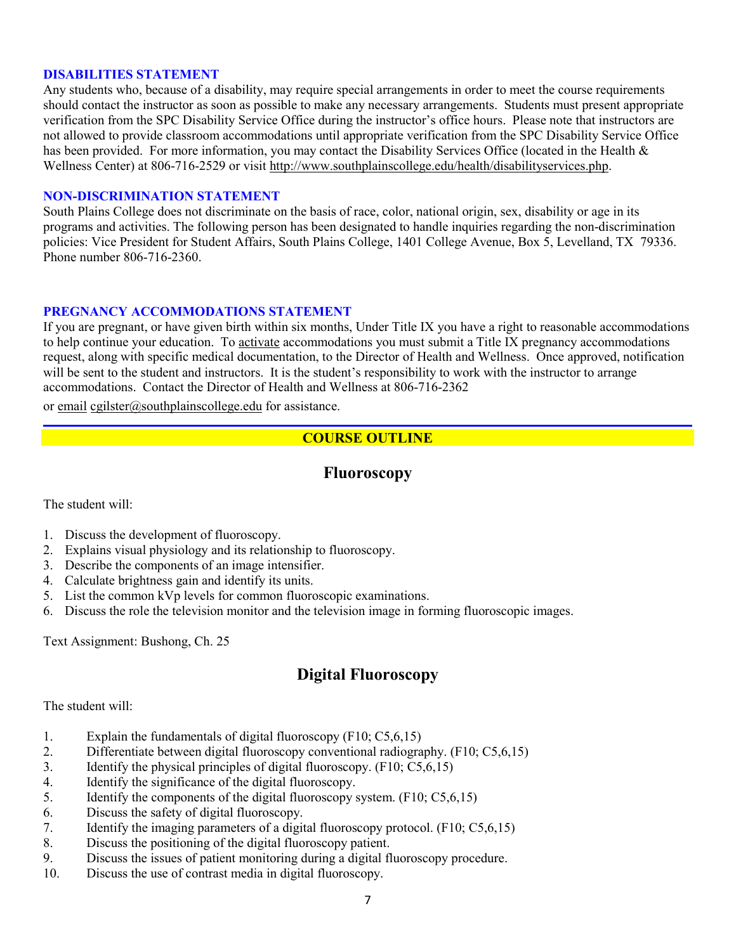#### **DISABILITIES STATEMENT**

Any students who, because of a disability, may require special arrangements in order to meet the course requirements should contact the instructor as soon as possible to make any necessary arrangements. Students must present appropriate verification from the SPC Disability Service Office during the instructor's office hours. Please note that instructors are not allowed to provide classroom accommodations until appropriate verification from the SPC Disability Service Office has been provided. For more information, you may contact the Disability Services Office (located in the Health & Wellness Center) at 806-716-2529 or visit [http://www.southplainscollege.edu/health/disabilityservices.php.](http://www.southplainscollege.edu/health/disabilityservices.php)

#### **NON-DISCRIMINATION STATEMENT**

South Plains College does not discriminate on the basis of race, color, national origin, sex, disability or age in its programs and activities. The following person has been designated to handle inquiries regarding the non-discrimination policies: Vice President for Student Affairs, South Plains College, 1401 College Avenue, Box 5, Levelland, TX 79336. Phone number 806-716-2360.

#### **PREGNANCY ACCOMMODATIONS STATEMENT**

If you are pregnant, or have given birth within six months, Under Title IX you have a right to reasonable accommodations to help continue your education. To [activate](http://www.southplainscollege.edu/employees/manualshandbooks/facultyhandbook/sec4.php) accommodations you must submit a Title IX pregnancy accommodations request, along with specific medical documentation, to the Director of Health and Wellness. Once approved, notification will be sent to the student and instructors. It is the student's responsibility to work with the instructor to arrange accommodations. Contact the Director of Health and Wellness at 806-716-2362

or [email](http://www.southplainscollege.edu/employees/manualshandbooks/facultyhandbook/sec4.php) [cgilster@southplainscollege.edu](mailto:cgilster@southplainscollege.edu) for assistance.

# **COURSE OUTLINE**

## **Fluoroscopy**

The student will:

- 1. Discuss the development of fluoroscopy.
- 2. Explains visual physiology and its relationship to fluoroscopy.
- 3. Describe the components of an image intensifier.
- 4. Calculate brightness gain and identify its units.
- 5. List the common kVp levels for common fluoroscopic examinations.
- 6. Discuss the role the television monitor and the television image in forming fluoroscopic images.

Text Assignment: Bushong, Ch. 25

# **Digital Fluoroscopy**

#### The student will:

- 1. Explain the fundamentals of digital fluoroscopy (F10; C5,6,15)
- 2. Differentiate between digital fluoroscopy conventional radiography. (F10; C5,6,15)
- 3. Identify the physical principles of digital fluoroscopy. (F10; C5,6,15)
- 4. Identify the significance of the digital fluoroscopy.
- 5. Identify the components of the digital fluoroscopy system. (F10; C5,6,15)
- 6. Discuss the safety of digital fluoroscopy.
- 7. Identify the imaging parameters of a digital fluoroscopy protocol. (F10; C5,6,15)
- 8. Discuss the positioning of the digital fluoroscopy patient.
- 9. Discuss the issues of patient monitoring during a digital fluoroscopy procedure.
- 10. Discuss the use of contrast media in digital fluoroscopy.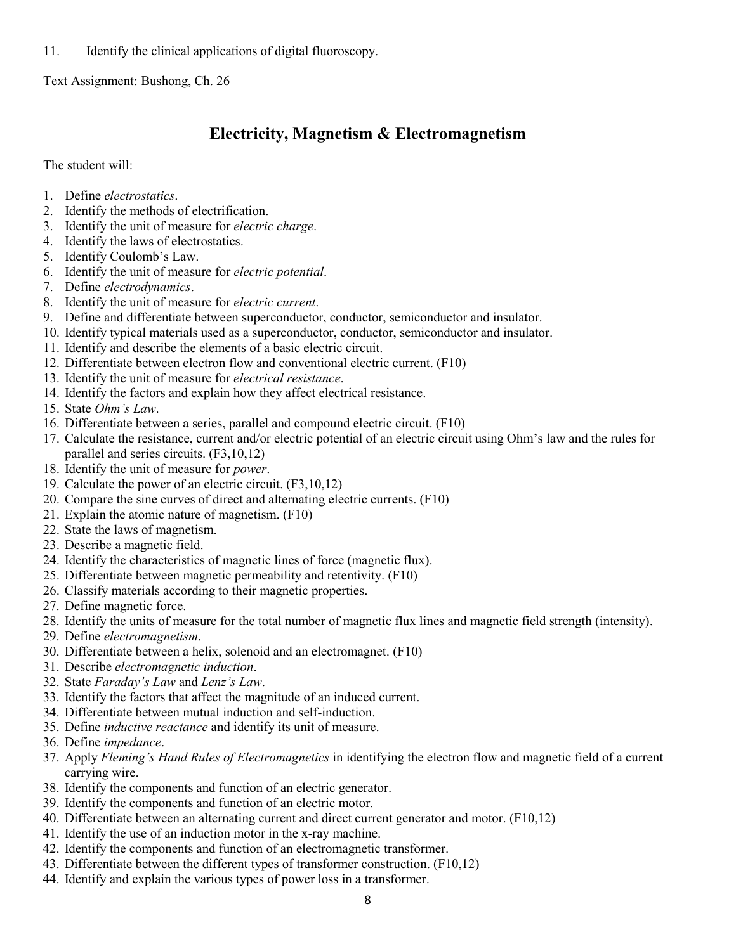11. Identify the clinical applications of digital fluoroscopy.

Text Assignment: Bushong, Ch. 26

# **Electricity, Magnetism & Electromagnetism**

The student will:

- 1. Define *electrostatics*.
- 2. Identify the methods of electrification.
- 3. Identify the unit of measure for *electric charge*.
- 4. Identify the laws of electrostatics.
- 5. Identify Coulomb's Law.
- 6. Identify the unit of measure for *electric potential*.
- 7. Define *electrodynamics*.
- 8. Identify the unit of measure for *electric current*.
- 9. Define and differentiate between superconductor, conductor, semiconductor and insulator.
- 10. Identify typical materials used as a superconductor, conductor, semiconductor and insulator.
- 11. Identify and describe the elements of a basic electric circuit.
- 12. Differentiate between electron flow and conventional electric current. (F10)
- 13. Identify the unit of measure for *electrical resistance*.
- 14. Identify the factors and explain how they affect electrical resistance.
- 15. State *Ohm's Law*.
- 16. Differentiate between a series, parallel and compound electric circuit. (F10)
- 17. Calculate the resistance, current and/or electric potential of an electric circuit using Ohm's law and the rules for parallel and series circuits. (F3,10,12)
- 18. Identify the unit of measure for *power*.
- 19. Calculate the power of an electric circuit. (F3,10,12)
- 20. Compare the sine curves of direct and alternating electric currents. (F10)
- 21. Explain the atomic nature of magnetism. (F10)
- 22. State the laws of magnetism.
- 23. Describe a magnetic field.
- 24. Identify the characteristics of magnetic lines of force (magnetic flux).
- 25. Differentiate between magnetic permeability and retentivity. (F10)
- 26. Classify materials according to their magnetic properties.
- 27. Define magnetic force.
- 28. Identify the units of measure for the total number of magnetic flux lines and magnetic field strength (intensity).
- 29. Define *electromagnetism*.
- 30. Differentiate between a helix, solenoid and an electromagnet. (F10)
- 31. Describe *electromagnetic induction*.
- 32. State *Faraday's Law* and *Lenz's Law*.
- 33. Identify the factors that affect the magnitude of an induced current.
- 34. Differentiate between mutual induction and self-induction.
- 35. Define *inductive reactance* and identify its unit of measure.
- 36. Define *impedance*.
- 37. Apply *Fleming's Hand Rules of Electromagnetics* in identifying the electron flow and magnetic field of a current carrying wire.
- 38. Identify the components and function of an electric generator.
- 39. Identify the components and function of an electric motor.
- 40. Differentiate between an alternating current and direct current generator and motor. (F10,12)
- 41. Identify the use of an induction motor in the x-ray machine.
- 42. Identify the components and function of an electromagnetic transformer.
- 43. Differentiate between the different types of transformer construction. (F10,12)
- 44. Identify and explain the various types of power loss in a transformer.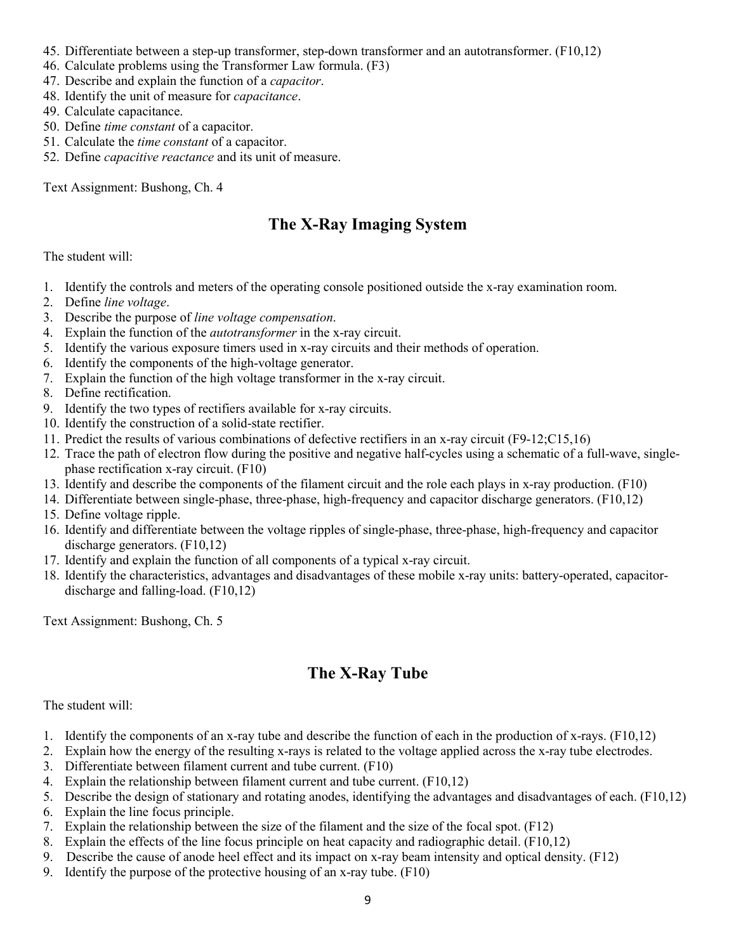- 45. Differentiate between a step-up transformer, step-down transformer and an autotransformer. (F10,12)
- 46. Calculate problems using the Transformer Law formula. (F3)
- 47. Describe and explain the function of a *capacitor*.
- 48. Identify the unit of measure for *capacitance*.
- 49. Calculate capacitance.
- 50. Define *time constant* of a capacitor.
- 51. Calculate the *time constant* of a capacitor.
- 52. Define *capacitive reactance* and its unit of measure.

Text Assignment: Bushong, Ch. 4

# **The X-Ray Imaging System**

### The student will:

- 1. Identify the controls and meters of the operating console positioned outside the x-ray examination room.
- 2. Define *line voltage*.
- 3. Describe the purpose of *line voltage compensation*.
- 4. Explain the function of the *autotransformer* in the x-ray circuit.
- 5. Identify the various exposure timers used in x-ray circuits and their methods of operation.
- 6. Identify the components of the high-voltage generator.
- 7. Explain the function of the high voltage transformer in the x-ray circuit.
- 8. Define rectification.
- 9. Identify the two types of rectifiers available for x-ray circuits.
- 10. Identify the construction of a solid-state rectifier.
- 11. Predict the results of various combinations of defective rectifiers in an x-ray circuit (F9-12;C15,16)
- 12. Trace the path of electron flow during the positive and negative half-cycles using a schematic of a full-wave, singlephase rectification x-ray circuit. (F10)
- 13. Identify and describe the components of the filament circuit and the role each plays in x-ray production. (F10)
- 14. Differentiate between single-phase, three-phase, high-frequency and capacitor discharge generators. (F10,12)
- 15. Define voltage ripple.
- 16. Identify and differentiate between the voltage ripples of single-phase, three-phase, high-frequency and capacitor discharge generators. (F10,12)
- 17. Identify and explain the function of all components of a typical x-ray circuit.
- 18. Identify the characteristics, advantages and disadvantages of these mobile x-ray units: battery-operated, capacitordischarge and falling-load. (F10,12)

Text Assignment: Bushong, Ch. 5

# **The X-Ray Tube**

#### The student will:

- 1. Identify the components of an x-ray tube and describe the function of each in the production of x-rays. (F10,12)
- 2. Explain how the energy of the resulting x-rays is related to the voltage applied across the x-ray tube electrodes.
- 3. Differentiate between filament current and tube current. (F10)
- 4. Explain the relationship between filament current and tube current. (F10,12)
- 5. Describe the design of stationary and rotating anodes, identifying the advantages and disadvantages of each. (F10,12)
- 6. Explain the line focus principle.
- 7. Explain the relationship between the size of the filament and the size of the focal spot. (F12)
- 8. Explain the effects of the line focus principle on heat capacity and radiographic detail. (F10,12)
- 9. Describe the cause of anode heel effect and its impact on x-ray beam intensity and optical density. (F12)
- 9. Identify the purpose of the protective housing of an x-ray tube. (F10)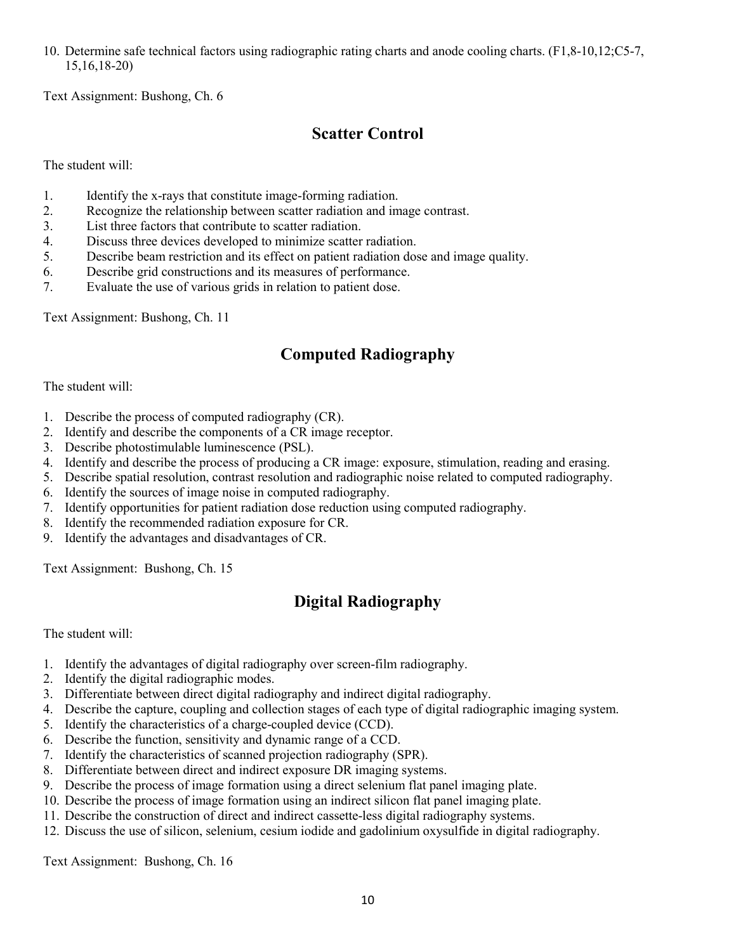10. Determine safe technical factors using radiographic rating charts and anode cooling charts. (F1,8-10,12;C5-7, 15,16,18-20)

Text Assignment: Bushong, Ch. 6

# **Scatter Control**

The student will:

- 1. Identify the x-rays that constitute image-forming radiation.
- 2. Recognize the relationship between scatter radiation and image contrast.
- 3. List three factors that contribute to scatter radiation.
- 4. Discuss three devices developed to minimize scatter radiation.
- 5. Describe beam restriction and its effect on patient radiation dose and image quality.
- 6. Describe grid constructions and its measures of performance.
- 7. Evaluate the use of various grids in relation to patient dose.

Text Assignment: Bushong, Ch. 11

# **Computed Radiography**

The student will:

- 1. Describe the process of computed radiography (CR).
- 2. Identify and describe the components of a CR image receptor.
- 3. Describe photostimulable luminescence (PSL).
- 4. Identify and describe the process of producing a CR image: exposure, stimulation, reading and erasing.
- 5. Describe spatial resolution, contrast resolution and radiographic noise related to computed radiography.
- 6. Identify the sources of image noise in computed radiography.
- 7. Identify opportunities for patient radiation dose reduction using computed radiography.
- 8. Identify the recommended radiation exposure for CR.
- 9. Identify the advantages and disadvantages of CR.

Text Assignment: Bushong, Ch. 15

# **Digital Radiography**

The student will:

- 1. Identify the advantages of digital radiography over screen-film radiography.
- 2. Identify the digital radiographic modes.
- 3. Differentiate between direct digital radiography and indirect digital radiography.
- 4. Describe the capture, coupling and collection stages of each type of digital radiographic imaging system.
- 5. Identify the characteristics of a charge-coupled device (CCD).
- 6. Describe the function, sensitivity and dynamic range of a CCD.
- 7. Identify the characteristics of scanned projection radiography (SPR).
- 8. Differentiate between direct and indirect exposure DR imaging systems.
- 9. Describe the process of image formation using a direct selenium flat panel imaging plate.
- 10. Describe the process of image formation using an indirect silicon flat panel imaging plate.
- 11. Describe the construction of direct and indirect cassette-less digital radiography systems.
- 12. Discuss the use of silicon, selenium, cesium iodide and gadolinium oxysulfide in digital radiography.

Text Assignment: Bushong, Ch. 16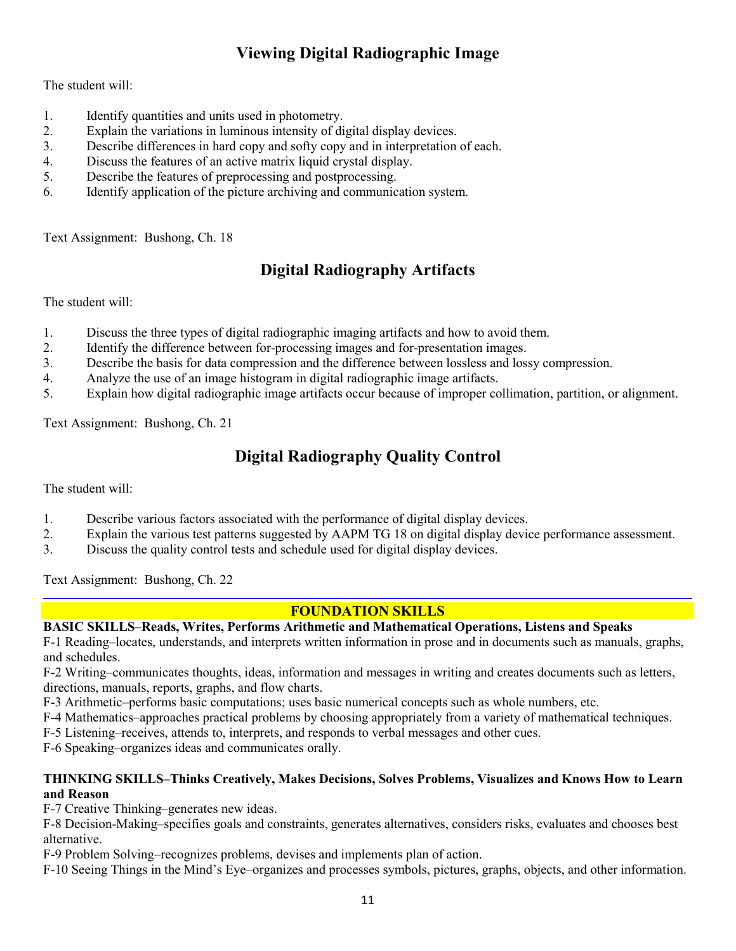# **Viewing Digital Radiographic Image**

The student will:

- 1. Identify quantities and units used in photometry.
- 2. Explain the variations in luminous intensity of digital display devices.
- 3. Describe differences in hard copy and softy copy and in interpretation of each.
- 4. Discuss the features of an active matrix liquid crystal display.
- 5. Describe the features of preprocessing and postprocessing.
- 6. Identify application of the picture archiving and communication system.

Text Assignment: Bushong, Ch. 18

# **Digital Radiography Artifacts**

The student will:

- 1. Discuss the three types of digital radiographic imaging artifacts and how to avoid them.
- 2. Identify the difference between for-processing images and for-presentation images.
- 3. Describe the basis for data compression and the difference between lossless and lossy compression.
- 4. Analyze the use of an image histogram in digital radiographic image artifacts.
- 5. Explain how digital radiographic image artifacts occur because of improper collimation, partition, or alignment.

Text Assignment: Bushong, Ch. 21

# **Digital Radiography Quality Control**

The student will:

- 1. Describe various factors associated with the performance of digital display devices.
- 2. Explain the various test patterns suggested by AAPM TG 18 on digital display device performance assessment.
- 3. Discuss the quality control tests and schedule used for digital display devices.

Text Assignment: Bushong, Ch. 22

# **FOUNDATION SKILLS**

## **BASIC SKILLS–Reads, Writes, Performs Arithmetic and Mathematical Operations, Listens and Speaks**

F-1 Reading–locates, understands, and interprets written information in prose and in documents such as manuals, graphs, and schedules.

F-2 Writing–communicates thoughts, ideas, information and messages in writing and creates documents such as letters, directions, manuals, reports, graphs, and flow charts.

F-3 Arithmetic–performs basic computations; uses basic numerical concepts such as whole numbers, etc.

F-4 Mathematics–approaches practical problems by choosing appropriately from a variety of mathematical techniques.

F-5 Listening–receives, attends to, interprets, and responds to verbal messages and other cues.

F-6 Speaking–organizes ideas and communicates orally.

### **THINKING SKILLS–Thinks Creatively, Makes Decisions, Solves Problems, Visualizes and Knows How to Learn and Reason**

F-7 Creative Thinking–generates new ideas.

F-8 Decision-Making–specifies goals and constraints, generates alternatives, considers risks, evaluates and chooses best alternative.

F-9 Problem Solving–recognizes problems, devises and implements plan of action.

F-10 Seeing Things in the Mind's Eye–organizes and processes symbols, pictures, graphs, objects, and other information.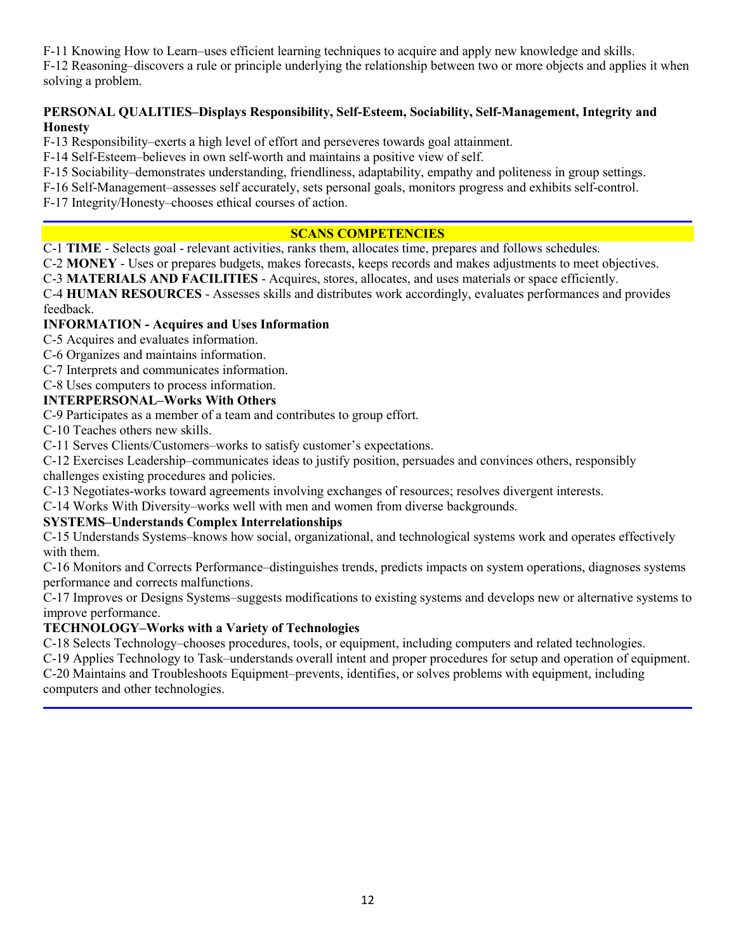F-11 Knowing How to Learn–uses efficient learning techniques to acquire and apply new knowledge and skills.

F-12 Reasoning–discovers a rule or principle underlying the relationship between two or more objects and applies it when solving a problem.

## **PERSONAL QUALITIES–Displays Responsibility, Self-Esteem, Sociability, Self-Management, Integrity and Honesty**

F-13 Responsibility–exerts a high level of effort and perseveres towards goal attainment.

F-14 Self-Esteem–believes in own self-worth and maintains a positive view of self.

F-15 Sociability–demonstrates understanding, friendliness, adaptability, empathy and politeness in group settings.

F-16 Self-Management–assesses self accurately, sets personal goals, monitors progress and exhibits self-control.

F-17 Integrity/Honesty–chooses ethical courses of action.

## **SCANS COMPETENCIES**

C-1 **TIME** - Selects goal - relevant activities, ranks them, allocates time, prepares and follows schedules.

C-2 **MONEY** - Uses or prepares budgets, makes forecasts, keeps records and makes adjustments to meet objectives.

C-3 **MATERIALS AND FACILITIES** - Acquires, stores, allocates, and uses materials or space efficiently.

C-4 **HUMAN RESOURCES** - Assesses skills and distributes work accordingly, evaluates performances and provides feedback.

## **INFORMATION - Acquires and Uses Information**

C-5 Acquires and evaluates information.

- C-6 Organizes and maintains information.
- C-7 Interprets and communicates information.

C-8 Uses computers to process information.

## **INTERPERSONAL–Works With Others**

C-9 Participates as a member of a team and contributes to group effort.

C-10 Teaches others new skills.

C-11 Serves Clients/Customers–works to satisfy customer's expectations.

C-12 Exercises Leadership–communicates ideas to justify position, persuades and convinces others, responsibly challenges existing procedures and policies.

C-13 Negotiates-works toward agreements involving exchanges of resources; resolves divergent interests.

C-14 Works With Diversity–works well with men and women from diverse backgrounds.

## **SYSTEMS–Understands Complex Interrelationships**

C-15 Understands Systems–knows how social, organizational, and technological systems work and operates effectively with them.

C-16 Monitors and Corrects Performance–distinguishes trends, predicts impacts on system operations, diagnoses systems performance and corrects malfunctions.

C-17 Improves or Designs Systems–suggests modifications to existing systems and develops new or alternative systems to improve performance.

## **TECHNOLOGY–Works with a Variety of Technologies**

C-18 Selects Technology–chooses procedures, tools, or equipment, including computers and related technologies.

C-19 Applies Technology to Task–understands overall intent and proper procedures for setup and operation of equipment. C-20 Maintains and Troubleshoots Equipment–prevents, identifies, or solves problems with equipment, including

computers and other technologies.